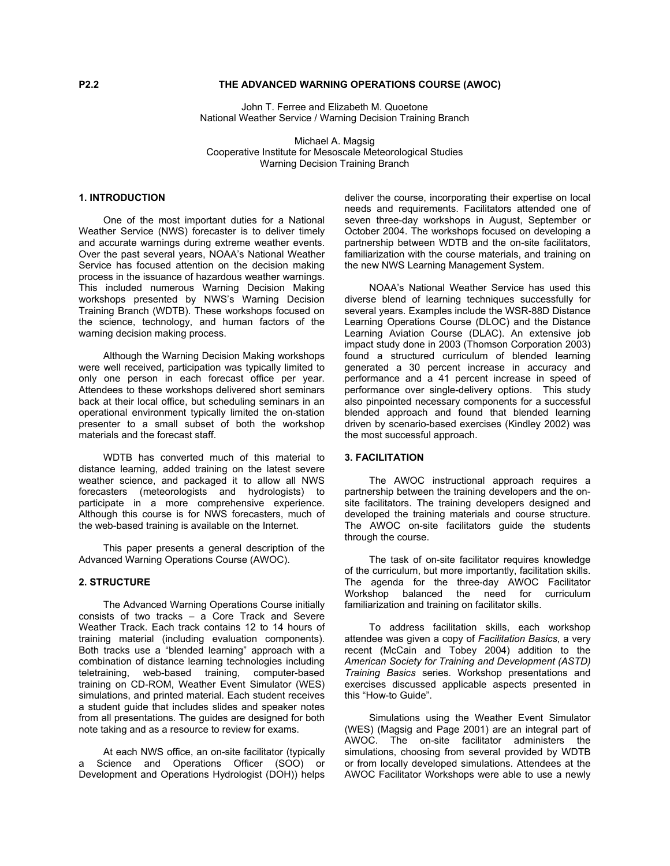# **P2.2 THE ADVANCED WARNING OPERATIONS COURSE (AWOC)**

John T. Ferree and Elizabeth M. Quoetone National Weather Service / Warning Decision Training Branch

Michael A. Magsig Cooperative Institute for Mesoscale Meteorological Studies Warning Decision Training Branch

# **1. INTRODUCTION**

One of the most important duties for a National Weather Service (NWS) forecaster is to deliver timely and accurate warnings during extreme weather events. Over the past several years, NOAA's National Weather Service has focused attention on the decision making process in the issuance of hazardous weather warnings. This included numerous Warning Decision Making workshops presented by NWS's Warning Decision Training Branch (WDTB). These workshops focused on the science, technology, and human factors of the warning decision making process.

Although the Warning Decision Making workshops were well received, participation was typically limited to only one person in each forecast office per year. Attendees to these workshops delivered short seminars back at their local office, but scheduling seminars in an operational environment typically limited the on-station presenter to a small subset of both the workshop materials and the forecast staff.

WDTB has converted much of this material to distance learning, added training on the latest severe weather science, and packaged it to allow all NWS forecasters (meteorologists and hydrologists) to participate in a more comprehensive experience. Although this course is for NWS forecasters, much of the web-based training is available on the Internet.

 This paper presents a general description of the Advanced Warning Operations Course (AWOC).

#### **2. STRUCTURE**

The Advanced Warning Operations Course initially consists of two tracks – a Core Track and Severe Weather Track. Each track contains 12 to 14 hours of training material (including evaluation components). Both tracks use a "blended learning" approach with a combination of distance learning technologies including teletraining, web-based training, computer-based training on CD-ROM, Weather Event Simulator (WES) simulations, and printed material. Each student receives a student guide that includes slides and speaker notes from all presentations. The guides are designed for both note taking and as a resource to review for exams.

At each NWS office, an on-site facilitator (typically a Science and Operations Officer (SOO) or Development and Operations Hydrologist (DOH)) helps deliver the course, incorporating their expertise on local needs and requirements. Facilitators attended one of seven three-day workshops in August, September or October 2004. The workshops focused on developing a partnership between WDTB and the on-site facilitators, familiarization with the course materials, and training on the new NWS Learning Management System.

NOAA's National Weather Service has used this diverse blend of learning techniques successfully for several years. Examples include the WSR-88D Distance Learning Operations Course (DLOC) and the Distance Learning Aviation Course (DLAC). An extensive job impact study done in 2003 (Thomson Corporation 2003) found a structured curriculum of blended learning generated a 30 percent increase in accuracy and performance and a 41 percent increase in speed of performance over single-delivery options. This study also pinpointed necessary components for a successful blended approach and found that blended learning driven by scenario-based exercises (Kindley 2002) was the most successful approach.

# **3. FACILITATION**

The AWOC instructional approach requires a partnership between the training developers and the onsite facilitators. The training developers designed and developed the training materials and course structure. The AWOC on-site facilitators guide the students through the course.

 The task of on-site facilitator requires knowledge of the curriculum, but more importantly, facilitation skills. The agenda for the three-day AWOC Facilitator Workshop balanced the need for curriculum familiarization and training on facilitator skills.

 To address facilitation skills, each workshop attendee was given a copy of *Facilitation Basics*, a very recent (McCain and Tobey 2004) addition to the *American Society for Training and Development (ASTD) Training Basics* series. Workshop presentations and exercises discussed applicable aspects presented in this "How-to Guide".

 Simulations using the Weather Event Simulator (WES) (Magsig and Page 2001) are an integral part of AWOC. The on-site facilitator administers the simulations, choosing from several provided by WDTB or from locally developed simulations. Attendees at the AWOC Facilitator Workshops were able to use a newly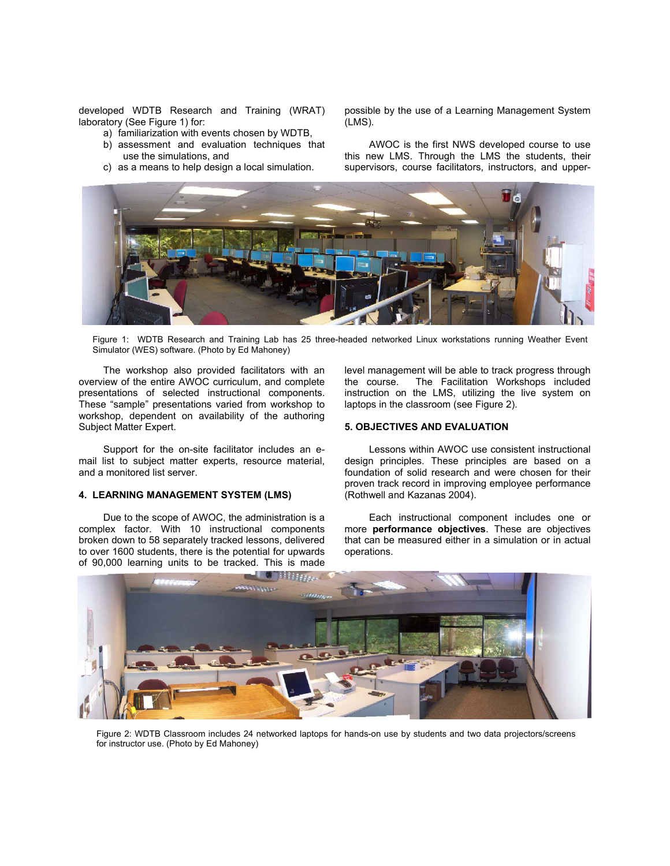developed WDTB Research and Training (WRAT) laboratory (See Figure 1) for:

- a) familiarization with events chosen by WDTB,
- b) assessment and evaluation techniques that use the simulations, and
- c) as a means to help design a local simulation.

possible by the use of a Learning Management System (LMS).

 AWOC is the first NWS developed course to use this new LMS. Through the LMS the students, their supervisors, course facilitators, instructors, and upper-



Figure 1: WDTB Research and Training Lab has 25 three-headed networked Linux workstations running Weather Event Simulator (WES) software. (Photo by Ed Mahoney)

 The workshop also provided facilitators with an overview of the entire AWOC curriculum, and complete presentations of selected instructional components. These "sample" presentations varied from workshop to workshop, dependent on availability of the authoring Subject Matter Expert.

 Support for the on-site facilitator includes an email list to subject matter experts, resource material, and a monitored list server.

# **4. LEARNING MANAGEMENT SYSTEM (LMS)**

 Due to the scope of AWOC, the administration is a complex factor. With 10 instructional components broken down to 58 separately tracked lessons, delivered to over 1600 students, there is the potential for upwards of 90,000 learning units to be tracked. This is made

level management will be able to track progress through the course. The Facilitation Workshops included instruction on the LMS, utilizing the live system on laptops in the classroom (see Figure 2).

### **5. OBJECTIVES AND EVALUATION**

 Lessons within AWOC use consistent instructional design principles. These principles are based on a foundation of solid research and were chosen for their proven track record in improving employee performance (Rothwell and Kazanas 2004).

 Each instructional component includes one or more **performance objectives**. These are objectives that can be measured either in a simulation or in actual operations.



Figure 2: WDTB Classroom includes 24 networked laptops for hands-on use by students and two data projectors/screens for instructor use. (Photo by Ed Mahoney)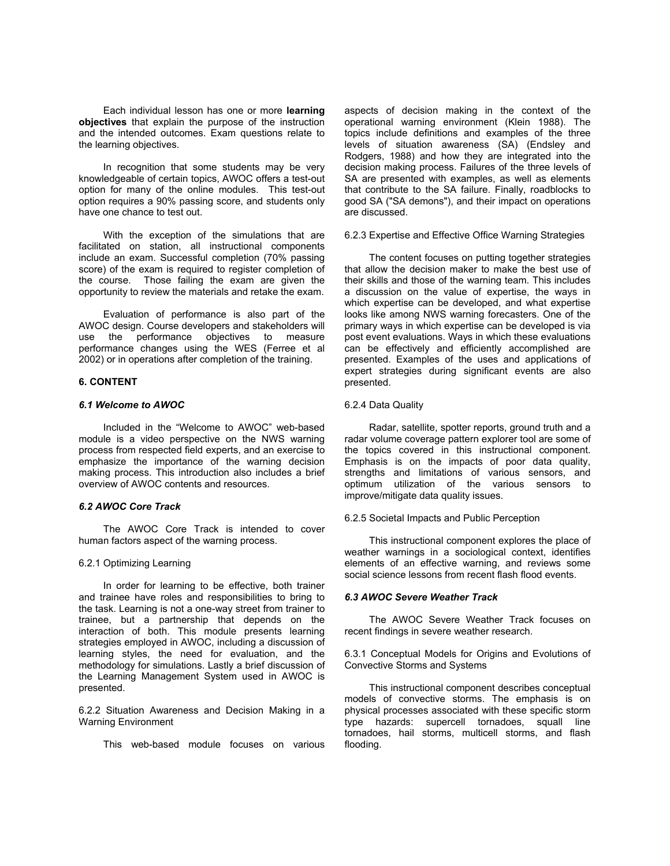Each individual lesson has one or more **learning objectives** that explain the purpose of the instruction and the intended outcomes. Exam questions relate to the learning objectives.

 In recognition that some students may be very knowledgeable of certain topics, AWOC offers a test-out option for many of the online modules. This test-out option requires a 90% passing score, and students only have one chance to test out.

 With the exception of the simulations that are facilitated on station, all instructional components include an exam. Successful completion (70% passing score) of the exam is required to register completion of the course. Those failing the exam are given the opportunity to review the materials and retake the exam.

 Evaluation of performance is also part of the AWOC design. Course developers and stakeholders will use the performance objectives to measure performance changes using the WES (Ferree et al 2002) or in operations after completion of the training.

# **6. CONTENT**

## *6.1 Welcome to AWOC*

 Included in the "Welcome to AWOC" web-based module is a video perspective on the NWS warning process from respected field experts, and an exercise to emphasize the importance of the warning decision making process. This introduction also includes a brief overview of AWOC contents and resources.

## *6.2 AWOC Core Track*

 The AWOC Core Track is intended to cover human factors aspect of the warning process.

### 6.2.1 Optimizing Learning

 In order for learning to be effective, both trainer and trainee have roles and responsibilities to bring to the task. Learning is not a one-way street from trainer to trainee, but a partnership that depends on the interaction of both. This module presents learning strategies employed in AWOC, including a discussion of learning styles, the need for evaluation, and the methodology for simulations. Lastly a brief discussion of the Learning Management System used in AWOC is presented.

6.2.2 Situation Awareness and Decision Making in a Warning Environment

This web-based module focuses on various

aspects of decision making in the context of the operational warning environment (Klein 1988). The topics include definitions and examples of the three levels of situation awareness (SA) (Endsley and Rodgers, 1988) and how they are integrated into the decision making process. Failures of the three levels of SA are presented with examples, as well as elements that contribute to the SA failure. Finally, roadblocks to good SA ("SA demons"), and their impact on operations are discussed.

# 6.2.3 Expertise and Effective Office Warning Strategies

 The content focuses on putting together strategies that allow the decision maker to make the best use of their skills and those of the warning team. This includes a discussion on the value of expertise, the ways in which expertise can be developed, and what expertise looks like among NWS warning forecasters. One of the primary ways in which expertise can be developed is via post event evaluations. Ways in which these evaluations can be effectively and efficiently accomplished are presented. Examples of the uses and applications of expert strategies during significant events are also presented.

#### 6.2.4 Data Quality

 Radar, satellite, spotter reports, ground truth and a radar volume coverage pattern explorer tool are some of the topics covered in this instructional component. Emphasis is on the impacts of poor data quality, strengths and limitations of various sensors, and optimum utilization of the various sensors to improve/mitigate data quality issues.

# 6.2.5 Societal Impacts and Public Perception

 This instructional component explores the place of weather warnings in a sociological context, identifies elements of an effective warning, and reviews some social science lessons from recent flash flood events.

#### *6.3 AWOC Severe Weather Track*

The AWOC Severe Weather Track focuses on recent findings in severe weather research.

6.3.1 Conceptual Models for Origins and Evolutions of Convective Storms and Systems

 This instructional component describes conceptual models of convective storms. The emphasis is on physical processes associated with these specific storm type hazards: supercell tornadoes, squall line tornadoes, hail storms, multicell storms, and flash flooding.